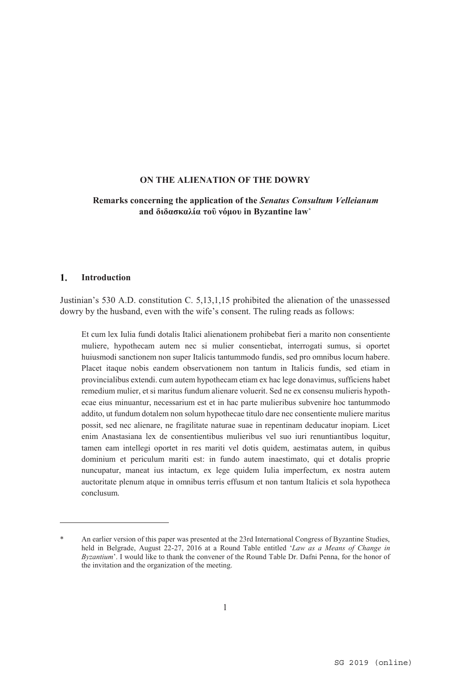#### **Remarks concerning the application of the** *Senatus Consultum Velleianum* **and διδασκαλία τοῦ νόμου in Byzantine law\***

#### **Introduction**   $\mathbf{1}$ .

 $\overline{a}$ 

Justinian's 530 A.D. constitution C. 5,13,1,15 prohibited the alienation of the unassessed dowry by the husband, even with the wife's consent. The ruling reads as follows:

Et cum lex Iulia fundi dotalis Italici alienationem prohibebat fieri a marito non consentiente muliere, hypothecam autem nec si mulier consentiebat, interrogati sumus, si oportet huiusmodi sanctionem non super Ιtalicis tantummodo fundis, sed pro omnibus locum habere. Placet itaque nobis eandem observationem non tantum in Italicis fundis, sed etiam in provincialibus extendi. cum autem hypothecam etiam ex hac lege donavimus, sufficiens habet remedium mulier, et si maritus fundum alienare voluerit. Sed ne ex consensu mulieris hypothecae eius minuantur, necessarium est et in hac parte mulieribus subvenire hoc tantummodo addito, ut fundum dotalem non solum hypothecae titulo dare nec consentiente muliere maritus possit, sed nec alienare, ne fragilitate naturae suae in repentinam deducatur inopiam. Licet enim Anastasiana lex de consentientibus mulieribus vel suo iuri renuntiantibus loquitur, tamen eam intellegi oportet in res mariti vel dotis quidem, aestimatas autem, in quibus dominium et periculum mariti est: in fundo autem inaestimato, qui et dotalis proprie nuncupatur, maneat ius intactum, ex lege quidem Ιulia imperfectum, ex nostra autem auctoritate plenum atque in omnibus terris effusum et non tantum Italicis et sola hypotheca conclusum.

An earlier version of this paper was presented at the 23rd International Congress of Byzantine Studies, held in Belgrade, August 22-27, 2016 at a Round Table entitled '*Law as a Means of Change in Byzantium*'. I would like to thank the convener of the Round Table Dr. Dafni Penna, for the honor of the invitation and the organization of the meeting.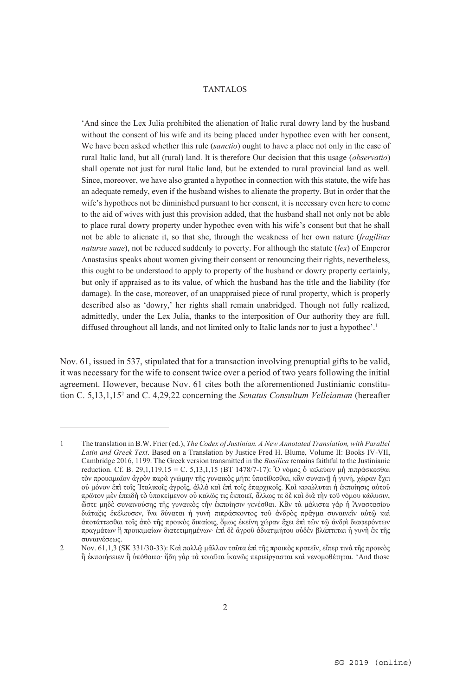'And since the Lex Julia prohibited the alienation of Italic rural dowry land by the husband without the consent of his wife and its being placed under hypothec even with her consent, We have been asked whether this rule (*sanctio*) ought to have a place not only in the case of rural Italic land, but all (rural) land. It is therefore Our decision that this usage (*observatio*) shall operate not just for rural Italic land, but be extended to rural provincial land as well. Since, moreover, we have also granted a hypothec in connection with this statute, the wife has an adequate remedy, even if the husband wishes to alienate the property. But in order that the wife's hypothecs not be diminished pursuant to her consent, it is necessary even here to come to the aid of wives with just this provision added, that the husband shall not only not be able to place rural dowry property under hypothec even with his wife's consent but that he shall not be able to alienate it, so that she, through the weakness of her own nature (*fragilitas naturae suae*), not be reduced suddenly to poverty. For although the statute (*lex*) of Emperor Anastasius speaks about women giving their consent or renouncing their rights, nevertheless, this ought to be understood to apply to property of the husband or dowry property certainly, but only if appraised as to its value, of which the husband has the title and the liability (for damage). In the case, moreover, of an unappraised piece of rural property, which is properly described also as 'dowry,' her rights shall remain unabridged. Though not fully realized, admittedly, under the Lex Julia, thanks to the interposition of Our authority they are full, diffused throughout all lands, and not limited only to Italic lands nor to just a hypothec'.<sup>1</sup>

Nov. 61, issued in 537, stipulated that for a transaction involving prenuptial gifts to be valid, it was necessary for the wife to consent twice over a period of two years following the initial agreement. However, because Nov. 61 cites both the aforementioned Justinianic constitution C. 5,13,1,152 and C. 4,29,22 concerning the *Senatus Consultum Velleianum* (hereafter

<sup>1</sup> Τhe translation in B.W. Frier (ed.), *The Codex of Justinian. A New Annotated Translation, with Parallel Latin and Greek Text*. Based on a Translation by Justice Fred H. Blume, Volume II: Books IV-VII, Cambridge 2016, 1199. The Greek version transmitted in the *Basilica* remains faithful to the Justinianic reduction. Cf. B. 29,1,119,15 = C. 5,13,1,15 (ΒΤ 1478/7-17): Ὁ νόμος ὁ κελεύων μὴ πιπράσκεσθαι τὸν προικιμαῖον ἀγρὸν παρὰ γνώμην τῆς γυναικὸς μήτε ὑποτίθεσθαι, κἂν συναινῇ ἡ γυνή, χώραν ἔχει οὐ μόνον ἐπὶ τοῖς Ἰταλικοῖς ἀγροῖς, ἀλλὰ καὶ ἐπὶ τοῖς ἐπαρχικοῖς. Καὶ κεκώλυται ἡ ἐκποίησις αὐτοῦ πρῶτον μὲν ἐπειδὴ τὸ ὐποκείμενον οὐ καλῶς τις ἐκποιεῖ, ἄλλως τε δὲ καὶ διὰ τὴν τοῦ νόμου κώλυσιν, ὥστε μηδὲ συναινούσης τῆς γυναικὸς τὴν ἐκποίησιν γενέσθαι. Κἂν τὰ μάλιστα γὰρ ἡ Ἀναστασίου διάταξις ἐκέλευσεν, ἵνα δύναται ἡ γυνὴ πιπράσκοντος τοῦ ἀνδρὸς πρᾶγμα συναινεῖν αὐτῷ καὶ ἀποτάττεσθαι τοῖς ἀπὸ τῆς προικὸς δικαίοις, ὅμως ἐκείνη χώραν ἔχει ἐπὶ τῶν τῷ ἀνδρὶ διαφερόντων πραγμάτων ἢ προικιμαίων διατετιμημένων· ἐπὶ δὲ ἀγροῦ ἀδιατιμήτου οὐδὲν βλάπτεται ἡ γυνὴ ἐκ τῆς συναινέσεως.

<sup>2</sup> Nov. 61,1,3 (SK 331/30-33): Καὶ πολλῷ μᾶλλον ταῦτα ἐπὶ τῆς προικὸς κρατεῖν, εἴπερ τινὰ τῆς προικὸς ἢ ἐκποιήσειεν ἢ ὑπόθοιτο· ἤδη γὰρ τὰ τοιαῦτα ἱκανῶς περιείργασται καὶ νενομοθέτηται. 'And those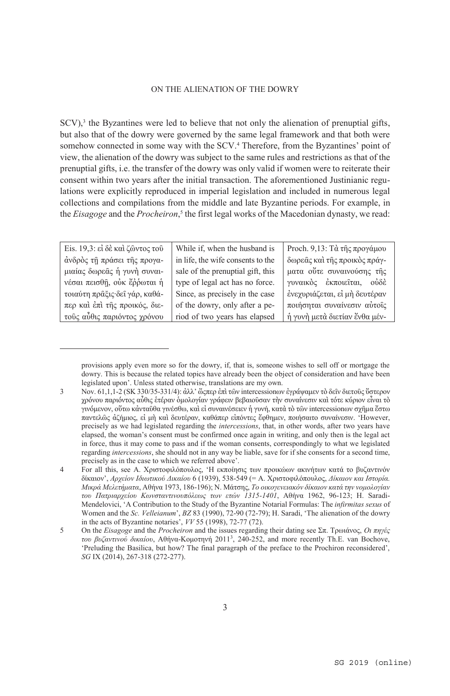$SCV$ ),<sup>3</sup> the Byzantines were led to believe that not only the alienation of prenuptial gifts, but also that of the dowry were governed by the same legal framework and that both were somehow connected in some way with the SCV.<sup>4</sup> Therefore, from the Byzantines' point of view, the alienation of the dowry was subject to the same rules and restrictions as that of the prenuptial gifts, i.e. the transfer of the dowry was only valid if women were to reiterate their consent within two years after the initial transaction. The aforementioned Justinianic regulations were explicitly reproduced in imperial legislation and included in numerous legal collections and compilations from the middle and late Byzantine periods. For example, in the *Εisagoge* and the *Procheiron*, 5 the first legal works of the Macedonian dynasty, we read:

| Eis. 19,3: εί δέ και ζώντος του | While if, when the husband is     | Proch. 9,13: Τὰ της προγάμου  |
|---------------------------------|-----------------------------------|-------------------------------|
| άνδρὸς τη πράσει της προγα-     | in life, the wife consents to the | δωρεάς και της προικός πράγ-  |
| μιαίας δωρεάς ή γυνή συναι-     | sale of the prenuptial gift, this | ματα ούτε συναινούσης της     |
| νέσαι πεισθή, ούκ έρρωται ή     | type of legal act has no force.   | γυναικός έκποιείται, ούδέ     |
| τοιαύτη πραξις δεί γάρ, καθά-   | Since, as precisely in the case   | ένεχυριάζεται, εί μή δευτέραν |
| περ και έπι της προικός, διε-   | of the dowry, only after a pe-    | ποιήσηται συναίνεσιν αύτοις   |
| τούς αύθις παριόντος χρόνου     | riod of two years has elapsed     | ή γυνή μετά διετίαν ένθα μέν- |

provisions apply even more so for the dowry, if, that is, someone wishes to sell off or mortgage the dowry. This is because the related topics have already been the object of consideration and have been legislated upon'. Unless stated otherwise, translations are my own.

<sup>3</sup> Νov. 61,1,1-2 (SK 330/35-331/4): ἀλλ' ὥςπερ ἐπὶ τῶν intercessionων ἐγράψαμεν τὸ δεῖν διετοῦς ὕστερον χρόνου παριόντος αὖθις ἑτέραν ὁμολογίαν γράφειν βεβαιοῦσαν τὴν συναίνεσιν καὶ τότε κύριον εἶναι τὸ γινόμενον, οὕτω κἀνταῦθα γινέσθω, καὶ εἰ συναινέσειεν ἡ γυνή, κατὰ τὸ τῶν intercessionων σχῆμα ἔστω παντελῶς ἀζήμιος, εἰ μὴ καὶ δευτέραν, καθάπερ εἰπόντες ἔφθημεν, ποιήσαιτο συναίνεσιν. 'However, precisely as we had legislated regarding the *intercessions*, that, in other words, after two years have elapsed, the woman's consent must be confirmed once again in writing, and only then is the legal act in force, thus it may come to pass and if the woman consents, correspondingly to what we legislated regarding *intercessions*, she should not in any way be liable, save for if she consents for a second time, precisely as in the case to which we referred above'.

<sup>4</sup> For all this, see A. Χριστοφιλόπουλος, 'Η εκποίησις των προικώων ακινήτων κατά το βυζαντινόν δίκαιον', *Αρχείον Ιδιωτικού Δικαίου* 6 (1939), 538-549 (= A. Χριστοφιλόπουλος, *Δίκαιον και Ιστορία. Μικρά Μελετήματα*, Αθήνα 1973, 186-196); N. Μάτσης, *Το οικογενειακόν δίκαιον κατά την νομολογίαν του Πατριαρχείου Κωνσταντινουπόλεως των ετών 1315-1401*, Αθήνα 1962, 96-123; H. Saradi-Mendelovici, 'A Contribution to the Study of the Byzantine Notarial Formulas: The *infirmitas sexus* of Women and the *Sc. Velleianum*', *BZ* 83 (1990), 72-90 (72-79); Η. Saradi, 'The alienation of the dowry in the acts of Byzantine notaries', *VV* 55 (1998), 72-77 (72).

<sup>5</sup> On the *Εisagoge* and the *Procheiron* and the issues regarding their dating see Σπ. Τρωιάνος, *Οι πηγές του βυζαντινού δικαίου*, Aθήνα-Kομοτηνή 20113 , 240-252, and more recently Th.E. van Bochove, 'Preluding the Basilica, but how? The final paragraph of the preface to the Prochiron reconsidered', *SG* IX (2014), 267-318 (272-277).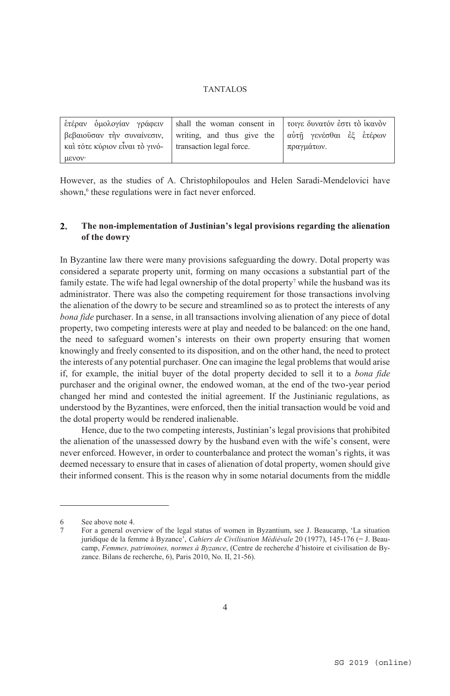|                                                                                 | ετέραν διαλογίαν γράφειν   shall the woman consent in   τοιγε δυνατόν έστι τὸ ἱκανὸν |                         |
|---------------------------------------------------------------------------------|--------------------------------------------------------------------------------------|-------------------------|
| $\beta \epsilon \beta \alpha$ ιούσαν την συναίνεσιν, writing, and thus give the |                                                                                      | αύτῆ γενέσθαι ἐξ ἑτέρων |
| $\kappa$ αί τότε κύριον εἶναι τὸ γινό $\kappa$ transaction legal force.         |                                                                                      | πραγμάτων.              |
| μενον·                                                                          |                                                                                      |                         |

However, as the studies of Α. Christophilopoulos and Helen Saradi-Mendelovici have shown,<sup>6</sup> these regulations were in fact never enforced.

#### $2.$ **The non-implementation of Justinian's legal provisions regarding the alienation of the dowry**

In Byzantine law there were many provisions safeguarding the dowry. Dotal property was considered a separate property unit, forming on many occasions a substantial part of the family estate. The wife had legal ownership of the dotal property<sup>7</sup> while the husband was its administrator. There was also the competing requirement for those transactions involving the alienation of the dowry to be secure and streamlined so as to protect the interests of any *bona fide* purchaser. In a sense, in all transactions involving alienation of any piece of dotal property, two competing interests were at play and needed to be balanced: on the one hand, the need to safeguard women's interests on their own property ensuring that women knowingly and freely consented to its disposition, and on the other hand, the need to protect the interests of any potential purchaser. One can imagine the legal problems that would arise if, for example, the initial buyer of the dotal property decided to sell it to a *bona fide* purchaser and the original owner, the endowed woman, at the end of the two-year period changed her mind and contested the initial agreement. If the Justinianic regulations, as understood by the Byzantines, were enforced, then the initial transaction would be void and the dotal property would be rendered inalienable.

Hence, due to the two competing interests, Justinian's legal provisions that prohibited the alienation of the unassessed dowry by the husband even with the wife's consent, were never enforced. However, in order to counterbalance and protect the woman's rights, it was deemed necessary to ensure that in cases of alienation of dotal property, women should give their informed consent. This is the reason why in some notarial documents from the middle

<sup>6</sup> See above note 4.

<sup>7</sup> For a general overview of the legal status of women in Byzantium, see J. Beaucamp, 'La situation juridique de la femme à Byzance', *Cahiers de Civilisation Médiévale* 20 (1977), 145-176 (= J. Beaucamp, *Femmes, patrimoines, normes à Byzance*, (Centre de recherche d'histoire et civilisation de Byzance. Bilans de recherche, 6), Paris 2010, No. II, 21-56).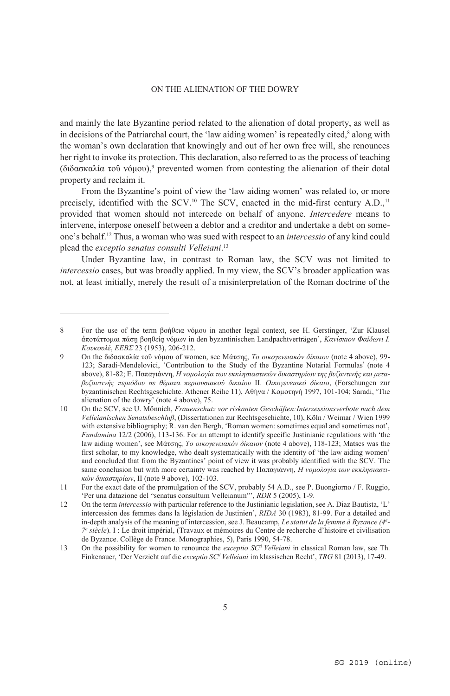and mainly the late Byzantine period related to the alienation of dotal property, as well as in decisions of the Patriarchal court, the 'law aiding women' is repeatedly cited,<sup>8</sup> along with the woman's own declaration that knowingly and out of her own free will, she renounces her right to invoke its protection. Τhis declaration, also referred to as the process of teaching (διδασκαλία τοῦ νόμου),<sup>9</sup> prevented women from contesting the alienation of their dotal property and reclaim it.

From the Byzantine's point of view the 'law aiding women' was related to, or more precisely, identified with the SCV.<sup>10</sup> The SCV, enacted in the mid-first century A.D.,<sup>11</sup> provided that women should not intercede on behalf of anyone. *Intercedere* means to intervene, interpose oneself between a debtor and a creditor and undertake a debt on someone's behalf.12 Thus, a woman who was sued with respect to an *intercessio* of any kind could plead the *exceptio senatus consulti Velleiani*. 13

Under Byzantine law, in contrast to Roman law, the SCV was not limited to *intercessio* cases, but was broadly applied. In my view, the SCV's broader application was not, at least initially, merely the result of a misinterpretation of the Roman doctrine of the

<sup>8</sup> For the use of the term βοήθεια νόμου in another legal context, see Η. Gerstinger, 'Zur Klausel ἀποτάττομαι πάσῃ βοηθείᾳ νόμων in den byzantinischen Landpachtverträgen', *Κανίσκιον Φαίδωνι Ι. Κουκουλέ*, *ΕΕΒΣ* 23 (1953), 206-212.

<sup>9</sup> Οn the διδασκαλία τοῦ νόμου οf women, see Μάτσης, *Το οικογενειακόν δίκαιον* (note 4 above), 99- 123; Saradi-Mendelovici, 'Contribution to the Study of the Byzantine Notarial Formulas' (note 4 above), 81-82; E. Παπαγιάννη, *Η νομολογία των εκκλησιαστικών δικαστηρίων της βυζαντινής και μεταβυζαντινής περιόδου σε θέματα περιουσιακού δικαίου* ΙΙ. *Οικογενειακό δίκαιο*, (Forschungen zur byzantinischen Rechtsgeschichte. Αthener Reihe 11), Aθήνα / Κομοτηνή 1997, 101-104; Saradi, 'The alienation of the dowry' (note 4 above), 75.

<sup>10</sup> On the SCV, see U. Mönnich, *Frauenschutz vor riskanten Geschäften:Interzessionsverbote nach dem Velleianischen Senatsbeschluß*, (Dissertationen zur Rechtsgeschichte, 10), Köln / Weimar / Wien 1999 with extensive bibliography; R. van den Bergh, 'Roman women: sometimes equal and sometimes not', *Fundamina* 12/2 (2006), 113-136. For an attempt to identify specific Justinianic regulations with 'the law aiding women', see Μάτσης, *Το οικογενειακόν δίκαιον* (note 4 above), 118-123; Matses was the first scholar, to my knowledge, who dealt systematically with the identity of 'the law aiding women' and concluded that from the Byzantines' point of view it was probably identified with the SCV. The same conclusion but with more certainty was reached by Παπαγιάννη, *Η νομολογία των εκκλησιαστικών δικαστηρίων*, ΙΙ (note 9 above), 102-103.

<sup>11</sup> For the exact date of the promulgation of the SCV, probably 54 A.D., see P. Buongiorno / F. Ruggio, 'Per una datazione del "senatus consultum Velleianum"', *RDR* 5 (2005), 1-9.

<sup>12</sup> On the term *intercessio* with particular reference to the Justinianic legislation, see A. Diaz Bautista, 'L' intercession des femmes dans la législation de Justinien', *RIDA* 30 (1983), 81-99. For a detailed and in-depth analysis of the meaning of intercession, see J. Βeaucamp, *Le statut de la femme à Byzance (4e - 7e siècle*). I : Le droit impérial, (Travaux et mémoires du Centre de recherche d'histoire et civilisation de Byzance. Collège de France. Monographies, 5), Paris 1990, 54-78.

<sup>13</sup> On the possibility for women to renounce the *exceptio SC<sup>ti</sup> Velleiani* in classical Roman law, see Th. Finkenauer, 'Der Verzicht auf die *exceptio SCti Velleiani* im klassischen Recht', *TRG* 81 (2013), 17-49.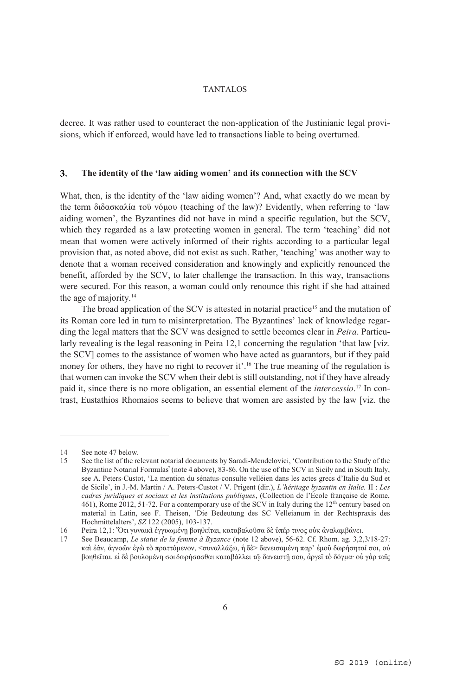decree. It was rather used to counteract the non-application of the Justinianic legal provisions, which if enforced, would have led to transactions liable to being overturned.

#### $\overline{3}$ . **The identity of the 'law aiding women' and its connection with the SCV**

What, then, is the identity of the 'law aiding women'? And, what exactly do we mean by the term διδασκαλία τοῦ νόμου (teaching οf the law)? Evidently, when referring to 'law aiding women', the Byzantines did not have in mind a specific regulation, but the SCV, which they regarded as a law protecting women in general. The term 'teaching' did not mean that women were actively informed of their rights according to a particular legal provision that, as noted above, did not exist as such. Rather, 'teaching' was another way to denote that a woman received consideration and knowingly and explicitly renounced the benefit, afforded by the SCV, to later challenge the transaction. In this way, transactions were secured. For this reason, a woman could only renounce this right if she had attained the age of majority.14

The broad application of the SCV is attested in notarial practice<sup>15</sup> and the mutation of its Roman core led in turn to misinterpretation. The Byzantines' lack of knowledge regarding the legal matters that the SCV was designed to settle becomes clear in *Peira*. Particularly revealing is the legal reasoning in Peira 12,1 concerning the regulation 'that law [viz.] the SCV] comes to the assistance of women who have acted as guarantors, but if they paid money for others, they have no right to recover it'.<sup>16</sup> The true meaning of the regulation is that women can invoke the SCV when their debt is still outstanding, not if they have already paid it, since there is no more obligation, an essential element of the *intercessio*. 17 In contrast, Eustathios Rhomaios seems to believe that women are assisted by the law [viz. the

<sup>14</sup> See note 47 below.

<sup>15</sup> See the list of the relevant notarial documents by Saradi-Mendelovici, 'Contribution to the Study of the Byzantine Notarial Formulas' (note 4 above), 83-86. On the use of the SCV in Sicily and in South Italy, see A. Peters-Custot, 'La mention du sénatus-consulte velléien dans les actes grecs d'Italie du Sud et de Sicile', in J.-M. Martin / A. Peters-Custot / V. Prigent (dir.), *L'héritage byzantin en Italie.* II : *Les cadres juridiques et sociaux et les institutions publiques*, (Collection de l'École française de Rome, 461), Rome 2012, 51-72. For a contemporary use of the SCV in Italy during the 12<sup>th</sup> century based on material in Latin, see F. Theisen, 'Die Bedeutung des SC Velleianum in der Rechtspraxis des Hochmittelalters', *SZ* 122 (2005), 103-137.

<sup>16</sup> Peira 12,1: Ότι γυναικὶ ἐγγυωμένῃ βοηθεῖται, καταβαλοῦσα δὲ ὑπέρ τινος οὐκ ἀναλαμβάνει.<br>17 See Beaucamp *Le statut de la femme à Byzance* (note 12 above). 56-62. Cf. Rhom. ag. 3.2

<sup>17</sup> See Beaucamp, *Le statut de la femme à Byzance* (note 12 above), 56-62. Cf. Rhom. ag. 3,2,3/18-27: καὶ ἐάν, ἀγνοῶν ἐγὼ τὸ πραττόμενον, <συναλλάξω, ἡ δὲ> δανεισαμένη παρ' ἐμοῦ δωρήσηταί σοι, οὐ βοηθεῖται. εἰ δὲ βουλομένη σοι δωρήσασθαι καταβάλλει τῷ δανειστῇ σου, ἀργεῖ τὸ δόγμα· οὐ γὰρ ταῖς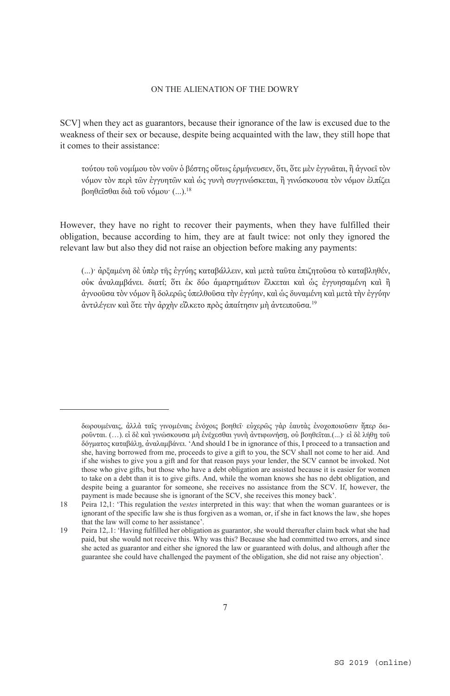SCV] when they act as guarantors, because their ignorance of the law is excused due to the weakness of their sex or because, despite being acquainted with the law, they still hope that it comes to their assistance:

τούτου τοῦ νομίμου τὸν νοῦν ὁ βέστης οὕτως ἑρμήνευσεν, ὅτι, ὅτε μὲν ἐγγυᾶται, ἢ ἀγνοεῖ τὸν νόμον τὸν περὶ τῶν ἐγγυητῶν καὶ ὡς γυνὴ συγγινώσκεται, ἢ γινώσκουσα τὸν νόμον ἐλπίζει βοηθεῖσθαι διὰ τοῦ νόμου· (...).18

However, they have no right to recover their payments, when they have fulfilled their obligation, because according to him, they are at fault twice: not only they ignored the relevant law but also they did not raise an objection before making any payments:

(...)· ἀρξαμένη δὲ ὑπὲρ τῆς ἐγγύης καταβάλλειν, καὶ μετὰ ταῦτα ἐπιζητοῦσα τὸ καταβληθέν, οὐκ ἀναλαμβάνει. διατί; ὅτι ἐκ δύο ἁμαρτημάτων ἕλκεται καὶ ὡς ἐγγυησαμένη καὶ ἢ ἀγνοοῦσα τὸν νόμον ἢ δολερῶς ὑπελθοῦσα τὴν ἐγγύην, καὶ ὡς δυναμένη καὶ μετὰ τὴν ἐγγύην άντιλέγειν καὶ ὅτε τὴν ἀρχὴν εἳλκετο πρὸς ἀπαίτησιν μὴ ἀντειποῦσα.<sup>19</sup>

δωρουμέναις, ἀλλὰ ταῖς γινομέναις ἐνόχοις βοηθεῖ· εὐχερῶς γὰρ ἑαυτὰς ἐνοχοποιοῦσιν ἤπερ δωροῦνται. (...). εἰ δὲ καὶ γινώσκουσα μὴ ἐνέχεσθαι γυνὴ ἀντιφωνήση, οὐ βοηθεῖται.(...)· εἰ δὲ λήθη τοῦ δόγματος καταβάλῃ, ἀναλαμβάνει. 'And should I be in ignorance of this, I proceed to a transaction and she, having borrowed from me, proceeds to give a gift to you, the SCV shall not come to her aid. And if she wishes to give you a gift and for that reason pays your lender, the SCV cannot be invoked. Not those who give gifts, but those who have a debt obligation are assisted because it is easier for women to take on a debt than it is to give gifts. And, while the woman knows she has no debt obligation, and despite being a guarantor for someone, she receives no assistance from the SCV. If, however, the payment is made because she is ignorant of the SCV, she receives this money back'

<sup>18</sup> Peira 12,1: 'This regulation the *vestes* interpreted in this way: that when the woman guarantees or is ignorant of the specific law she is thus forgiven as a woman, or, if she in fact knows the law, she hopes that the law will come to her assistance'.

<sup>19</sup> Peira 12,.1: 'Having fulfilled her obligation as guarantor, she would thereafter claim back what she had paid, but she would not receive this. Why was this? Because she had committed two errors, and since she acted as guarantor and either she ignored the law or guaranteed with dolus, and although after the guarantee she could have challenged the payment of the obligation, she did not raise any objection'.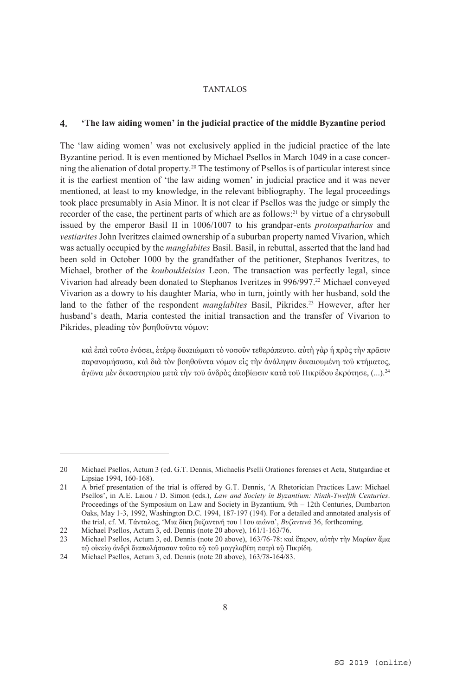#### $\boldsymbol{4}$ . **'The law aiding women' in the judicial practice of the middle Byzantine period**

The 'law aiding women' was not exclusively applied in the judicial practice of the late Byzantine period. It is even mentioned by Michael Psellos in March 1049 in a case concerning the alienation of dotal property.20 The testimony of Psellos is of particular interest since it is the earliest mention of 'the law aiding women' in judicial practice and it was never mentioned, at least to my knowledge, in the relevant bibliography. The legal proceedings took place presumably in Asia Minor. It is not clear if Psellos was the judge or simply the recorder of the case, the pertinent parts of which are as follows:21 by virtue of a chrysobull issued by the emperor Basil II in 1006/1007 to his grandpar-ents *protospatharios* and *vestiarites* John Iveritzes claimed ownership of a suburban property named Vivarion, which was actually occupied by the *manglabites* Basil. Basil, in rebuttal, asserted that the land had been sold in October 1000 by the grandfather of the petitioner, Stephanos Iveritzes, to Michael, brother of the *kouboukleisios* Leon. The transaction was perfectly legal, since Vivarion had already been donated to Stephanos Iveritzes in 996/997.22 Michael conveyed Vivarion as a dowry to his daughter Maria, who in turn, jointly with her husband, sold the land to the father of the respondent *manglabites* Basil, Pikrides.23 However, after her husband's death, Maria contested the initial transaction and the transfer of Vivarion to Pikrides, pleading τὸν βοηθοῦντα νόμον:

καὶ ἐπεὶ τοῦτο ἐνόσει, ἑτέρῳ δικαιώματι τὸ νοσοῦν τεθεράπευτο. αὐτὴ γὰρ ἡ πρὸς τὴν πρᾶσιν παρανομήσασα, καὶ διὰ τὸν βοηθοῦντα νόμον εἰς τὴν ἀνάληψιν δικαιουμένη τοῦ κτήματος, ἀγῶνα μὲν δικαστηρίου μετὰ τὴν τοῦ ἀνδρὸς ἀποβίωσιν κατὰ τοῦ Πικρίδου ἐκρότησε, (...).24

<sup>20</sup> Michael Psellos, Actum 3 (ed. G.T. Dennis, Michaelis Pselli Orationes forenses et Acta, Stutgardiae et Lipsiae 1994, 160-168).

<sup>21</sup> A brief presentation of the trial is offered by G.T. Dennis, 'A Rhetorician Practices Law: Michael Psellos', in A.E. Laiou / D. Simon (eds.), *Law and Society in Byzantium: Ninth-Twelfth Centuries*. Proceedings of the Symposium on Law and Society in Byzantium, 9th – 12th Centuries, Dumbarton Oaks, May 1-3, 1992, Washington D.C. 1994, 187-197 (194). For a detailed and annotated analysis of the trial, cf. M. Tάνταλος, 'Μια δίκη βυζαντινή του 11ου αιώνα', *Βυζαντινά* 36, forthcoming.

<sup>22</sup> Michael Psellos, Actum 3, ed. Dennis (note 20 above),  $161/1-163/76$ .<br>23 Michael Psellos, Actum 3, ed. Dennis (note 20 above),  $163/76-78$ ; ro

<sup>23</sup> Michael Psellos, Actum 3, ed. Dennis (note 20 above), 163/76-78: καὶ ἕτερον, αὐτὴν τὴν Μαρίαν ἅμα τῷ οἰκείῳ ἀνδρὶ διαπωλήσασαν τοῦτο τῷ τοῦ μαγγλαβίτη πατρὶ τῷ Πικρίδη.

<sup>24</sup> Michael Psellos, Actum 3, ed. Dennis (note 20 above), 163/78-164/83.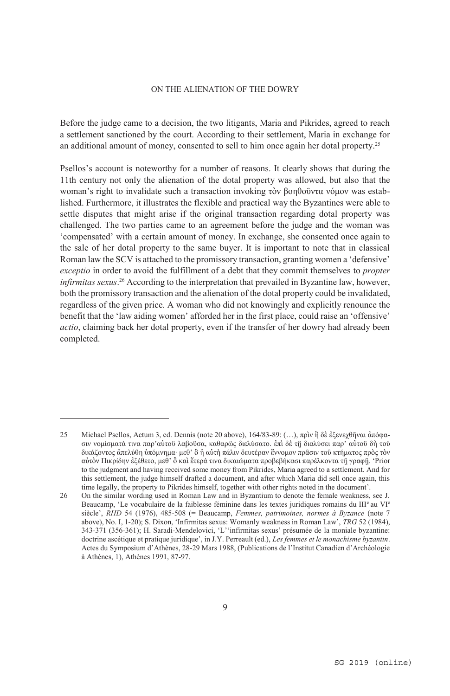Βefore the judge came to a decision, the two litigants, Maria and Pikrides, agreed to reach a settlement sanctioned by the court. According to their settlement, Maria in exchange for an additional amount of money, consented to sell to him once again her dotal property.25

Psellos's account is noteworthy for a number of reasons. It clearly shows that during the 11th century not only the alienation of the dotal property was allowed, but also that the woman's right to invalidate such a transaction invoking τὸν βοηθοῦντα νόμον was established. Furthermore, it illustrates the flexible and practical way the Byzantines were able to settle disputes that might arise if the original transaction regarding dotal property was challenged. The two parties came to an agreement before the judge and the woman was 'compensated' with a certain amount of money. In exchange, she consented once again to the sale of her dotal property to the same buyer. Ιt is important to note that in classical Roman law the SCV is attached to the promissory transaction, granting women a 'defensive' *exceptio* in order to avoid the fulfillment of a debt that they commit themselves to *propter infirmitas sexus*. 26 According to the interpretation that prevailed in Byzantine law, however, both the promissory transaction and the alienation of the dotal property could be invalidated, regardless of the given price. A woman who did not knowingly and explicitly renounce the benefit that the 'law aiding women' afforded her in the first place, could raise an 'offensive' *actio*, claiming back her dotal property, even if the transfer of her dowry had already been completed.

<sup>25</sup> Michael Psellos, Actum 3, ed. Dennis (note 20 above), 164/83-89: (…), πρὶν ἢ δὲ ἐξενεχθῆναι ἀπόφασιν νομίσματά τινα παρ'αὐτοῦ λαβοῦσα, καθαρῶς διελύσατο. ἐπὶ δὲ τῇ διαλύσει παρ' αὐτοῦ δὴ τοῦ δικάζοντος ἀπελύθη ὑπόμνημα· μεθ' ὃ ἡ αὐτὴ πάλιν δευτέραν ἔννομον πρᾶσιν τοῦ κτήματος πρὸς τὸν αὐτὸν Πικρίδην ἐξέθετο, μεθ' ὃ καὶ ἕτερά τινα δικαιώματα προβεβήκασι παρέλκοντα τῇ γραφῇ. 'Prior to the judgment and having received some money from Pikrides, Maria agreed to a settlement. And for this settlement, the judge himself drafted a document, and after which Maria did sell once again, this time legally, the property to Pikrides himself, together with other rights noted in the document'.

<sup>26</sup> On the similar wording used in Roman Law and in Byzantium to denote the female weakness, see J. Beaucamp, 'Le vocabulaire de la faiblesse féminine dans les textes juridiques romains du III<sup>e</sup> au VI<sup>e</sup> siècle', *RHD* 54 (1976), 485-508 (= Beaucamp, *Femmes, patrimoines, normes à Byzance* (note 7 above), No. I, 1-20); S. Dixon, 'Infirmitas sexus: Womanly weakness in Roman Law', *TRG* 52 (1984), 343-371 (356-361); H. Saradi-Mendelovici, 'L''infirmitas sexus' présumée de la moniale byzantine: doctrine ascétique et pratique juridique', in J.Y. Perreault (ed.), *Les femmes et le monachisme byzantin*. Actes du Symposium d'Athènes, 28-29 Mars 1988, (Publications de l'Institut Canadien d'Archéologie à Athènes, 1), Athènes 1991, 87-97.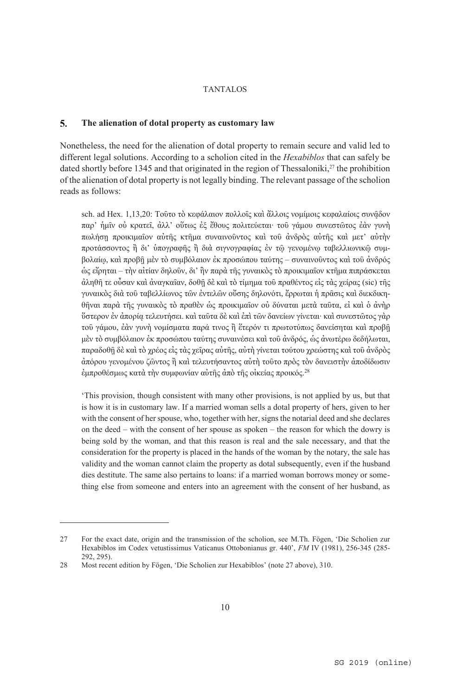#### $\overline{\mathbf{5}}$ . **The alienation of dotal property as customary law**

Nonetheless, the need for the alienation of dotal property to remain secure and valid led to different legal solutions. Αccording to a scholion cited in the *Hexabiblos* that can safely be dated shortly before 1345 and that originated in the region of Thessaloniki, $27$  the prohibition of the alienation of dotal property is not legally binding. The relevant passage of the scholion reads as follows:

sch. ad Hex. 1,13,20: Τοῦτο τὸ κεφάλαιον πολλοῖς καὶ ἄλλοις νομίμοις κεφαλαίοις συνᾶδον παρ' ἡμῖν οὐ κρατεῖ, ἀλλ' οὕτως ἐξ ἔθους πολιτεύεται· τοῦ γάμου συνεστῶτος ἐὰν γυνὴ πωλήσῃ προικιμαῖον αὐτῆς κτῆμα συναινοῦντος καὶ τοῦ ἀνδρὸς αὐτῆς καὶ μετ' αὐτὴν προτάσσοντος ἢ δι' ὑπογραφῆς ἢ διὰ σιγνογραφίας ἐν τῶ γενομένω ταβελλιωνικῶ συμβολαίῳ, καὶ προβῇ μὲν τὸ συμβόλαιον ἐκ προσώπου ταύτης – συναινοῦντος καὶ τοῦ ἀνδρός ὡς εἴρηται – τὴν αἰτίαν δηλοῦν, δι' ἣν παρὰ τῆς γυναικὸς τὸ προικιμαῖον κτῆμα πιπράσκεται ἀληθῆ τε οὖσαν καὶ ἀναγκαῖαν, δοθῇ δὲ καὶ τὸ τίμημα τοῦ πραθέντος εἰς τὰς χείρας (sic) τῆς γυναικὸς διὰ τοῦ ταβελλίωνος τῶν ἐντελῶν οὔσης δηλονότι, ἔρρωται ἡ πρᾶσις καὶ διεκδικηθῆναι παρὰ τῆς γυναικὸς τὸ πραθὲν ὡς προικιμαῖον οὐ δύναται μετὰ ταῦτα, εἰ καὶ ὁ ἀνὴρ ὕστερον ἐν ἀπορίᾳ τελευτήσει. καὶ ταῦτα δὲ καὶ ἐπὶ τῶν δανείων γίνεται· καὶ συνεστῶτος γὰρ τοῦ γάμου, ἐὰν γυνὴ νομίσματα παρά τινος ἢ ἕτερόν τι πρωτοτύπως δανείσηται καὶ προβῇ μὲν τὸ συμβόλαιον ἐκ προσώπου ταύτης συναινέσει καὶ τοῦ ἀνδρός, ὡς ἀνωτέρω δεδήλωται, παραδοθῇ δὲ καὶ τὸ χρέος εἰς τὰς χεῖρας αὐτῆς, αὐτὴ γίνεται τούτου χρεώστης καὶ τοῦ ἀνδρὸς ἀπόρου γενομένου ζῶντος ἢ καὶ τελευτήσαντος αὐτὴ τοῦτο πρὸς τὸν δανειστὴν ἀποδίδωσιν ἐμπροθέσμως κατὰ τὴν συμφωνίαν αὐτῆς ἀπὸ τῆς οἰκείας προικός. 28

'This provision, though consistent with many other provisions, is not applied by us, but that is how it is in customary law. If a married woman sells a dotal property of hers, given to her with the consent of her spouse, who, together with her, signs the notarial deed and she declares on the deed – with the consent of her spouse as spoken – the reason for which the dowry is being sold by the woman, and that this reason is real and the sale necessary, and that the consideration for the property is placed in the hands of the woman by the notary, the sale has validity and the woman cannot claim the property as dotal subsequently, even if the husband dies destitute. The same also pertains to loans: if a married woman borrows money or something else from someone and enters into an agreement with the consent of her husband, as

<sup>27</sup> For the exact date, origin and the transmission of the scholion, see M.Th. Fögen, 'Die Scholien zur Hexabiblos im Codex vetustissimus Vaticanus Ottobonianus gr. 440', *FM* IV (1981), 256-345 (285- 292, 295).

<sup>28</sup> Most recent edition by Fögen, 'Die Scholien zur Hexabiblos' (note 27 above), 310.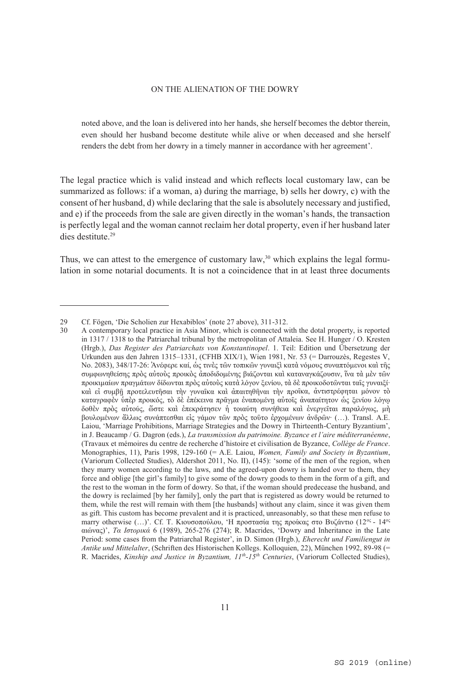noted above, and the loan is delivered into her hands, she herself becomes the debtor therein, even should her husband become destitute while alive or when deceased and she herself renders the debt from her dowry in a timely manner in accordance with her agreement'.

The legal practice which is valid instead and which reflects local customary law, can be summarized as follows: if a woman, a) during the marriage, b) sells her dowry, c) with the consent of her husband, d) while declaring that the sale is absolutely necessary and justified, and e) if the proceeds from the sale are given directly in the woman's hands, the transaction is perfectly legal and the woman cannot reclaim her dotal property, even if her husband later dies destitute <sup>29</sup>

Thus, we can attest to the emergence of customary law, $30$  which explains the legal formulation in some notarial documents. It is not a coincidence that in at least three documents

<sup>29</sup> Cf. Fögen, 'Die Scholien zur Hexabiblos' (note 27 above), 311-312.

<sup>30</sup> A contemporary local practice in Asia Minor, which is connected with the dotal property, is reported in 1317 / 1318 to the Patriarchal tribunal by the metropolitan of Attaleia. See H. Hunger / O. Kresten (Hrgb.), *Das Register des Patriarchats von Konstantinopel*. 1. Teil: Edition und Übersetzung der Urkunden aus den Jahren 1315–1331, (CFHB XIX/1), Wien 1981, Nr. 53 (= Darrouzès, Regestes V, No. 2083), 348/17-26: Ἀνέφερε καί, ὡς τινὲς τῶν τοπικῶν γυναιξὶ κατὰ νόμους συναπτόμενοι καὶ τῆς συμφωνηθείσης πρὸς αὐτοὺς προικὸς ἀποδιδομένης βιάζονται καὶ καταναγκάζουσιν, ἵνα τὰ μὲν τῶν προικιμαίων πραγμάτων δίδωνται πρὸς αὐτοὺς κατὰ λόγον ξενίου, τὰ δὲ προικοδοτῶνται ταῖς γυναιξί· καὶ εἰ συμβῇ προτελευτῆσαι τὴν γυναῖκα καὶ ἀπαιτηθῆναι τὴν προῖκα, ἀντιστρέφηται μόνον τὸ καταγραφὲν ὑπὲρ προικός, τὸ δὲ ἐπέκεινα πρᾶγμα ἐναπομένῃ αὐτοῖς ἀναπαίτητον ὡς ξενίου λόγῳ δοθὲν πρὸς αὐτούς, ὥστε καὶ ἐπεκράτησεν ἡ τοιαύτη συνήθεια καὶ ἐνεργεῖται παραλόγως, μὴ βουλομένων ἄλλως συνάπτεσθαι εἰς γάμον τῶν πρὸς τοῦτο ἐρχομένων ἀνδρῶν· (…). Τransl. A.E. Laiou, 'Marriage Prohibitions, Marriage Strategies and the Dowry in Thirteenth-Century Byzantium', in J. Beaucamp / G. Dagron (eds.), *La transmission du patrimoine. Byzance et l'aire méditerranéenne*, (Travaux et mémoires du centre de recherche d'histoire et civilisation de Byzance, *Collège de France*. Monographies, 11), Paris 1998, 129-160 (= A.E. Laiou, *Women, Family and Society in Byzantium*, (Variorum Collected Studies), Aldershot 2011, No. II), (145): 'some of the men of the region, when they marry women according to the laws, and the agreed-upon dowry is handed over to them, they force and oblige [the girl's family] to give some of the dowry goods to them in the form of a gift, and the rest to the woman in the form of dowry. So that, if the woman should predecease the husband, and the dowry is reclaimed [by her family], only the part that is registered as dowry would be returned to them, while the rest will remain with them [the husbands] without any claim, since it was given them as gift. This custom has become prevalent and it is practiced, unreasonably, so that these men refuse to marry otherwise (…)'. Cf. T. Κιουσοπούλου, 'H προστασία της προίκας στο Βυζάντιο (12ος - 14ος αιώνας)', *Τα Ιστορικά* 6 (1989), 265-276 (274); R. Macrides, 'Dowry and Inheritance in the Late Period: some cases from the Patriarchal Register', in D. Simon (Hrgb.), *Eherecht und Familiengut in Antike und Mittelalter*, (Schriften des Historischen Kollegs. Kolloquien, 22), München 1992, 89-98 (= R. Macrides, *Kinship and Justice in Byzantium, 11th-15th Centuries*, (Variorum Collected Studies),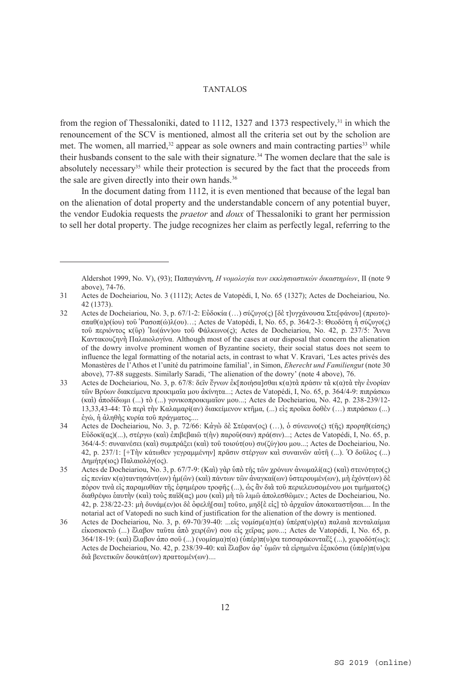from the region of Thessaloniki, dated to 1112, 1327 and 1373 respectively,<sup>31</sup> in which the renouncement of the SCV is mentioned, almost all the criteria set out by the scholion are met. The women, all married, $32$  appear as sole owners and main contracting parties  $33$  while their husbands consent to the sale with their signature.<sup>34</sup> The women declare that the sale is absolutely necessary<sup>35</sup> while their protection is secured by the fact that the proceeds from the sale are given directly into their own hands.<sup>36</sup>

In the document dating from 1112, it is even mentioned that because of the legal ban on the alienation of dotal property and the understandable concern of any potential buyer, the vendor Eudokia requests the *praetor* and *doux* of Thessaloniki to grant her permission to sell her dotal property. The judge recognizes her claim as perfectly legal, referring to the

Aldershot 1999, No. V), (93); Παπαγιάννη, *Η νομολογία των εκκλησιαστικών δικαστηρίων*, ΙΙ (note 9 above), 74-76.

<sup>31</sup> Actes de Docheiariou, No. 3 (1112); Actes de Vatopédi, I, No. 65 (1327); Actes de Docheiariou, No. 42 (1373).

<sup>32</sup> Actes de Docheiariou, No. 3, p. 67/1-2: Εὐδοκία (…) σύζυγο(ς) [δὲ τ]υγχάνουσα Στε[φάνου] (πρωτο) σπαθ(α)ρ(ίου) τοῦ Ῥασοπ(ώ)λ(ου)…; Actes de Vatopédi, I, No. 65, p. 364/2-3: Θεοδότη ἡ σύζυγο(ς) τοῦ περιόντος κ(ῦρ) Ἰω(άνν)ου τοῦ Φάλκωνο(ς); Actes de Docheiariou, No. 42, p. 237/5: Ἄννα Καντακουζηνὴ Παλαιολογίνα. Although most of the cases at our disposal that concern the alienation of the dowry involve prominent women of Byzantine society, their social status does not seem to influence the legal formatting of the notarial acts, in contrast to what V. Kravari, 'Les actes privés des Μonastères de l'Athos et l'unité du patrimoine familial', in Simon, *Eherecht und Familiengut* (note 30 above), 77-88 suggests. Similarly Saradi, 'The alienation of the dowry' (note 4 above), 76.

<sup>33</sup> Actes de Docheiariou, No. 3, p. 67/8: δεῖν ἔγνων ἐκ[ποιήσα]σθαι κ(α)τὰ πράσιν τὰ κ(α)τὰ τὴν ἐνορίαν τῶν Βρύων διακείμενα προικιμαῖα μου ἀκίνητα...; Actes de Vatopédi, I, No. 65, p. 364/4-9: πιπράσκω (καὶ) ἀποδίδωμι (...) τὸ (...) γονικοπροικιμαῖον μου...; Actes de Docheiariou, No. 42, p. 238-239/12- 13,33,43-44: Τὸ περὶ τὴν Καλαμαρί(αν) διακείμενον κτῆμα, (...) εἰς προῖκα δοθὲν (…) πιπράσκω (...) ἐγώ, ἡ ἀληθὴς κυρία τοῦ πράγματος....

<sup>34</sup> Actes de Docheiariou, No. 3, p. 72/66: Κἀγὼ δὲ Στέφαν(ος) (…), ὁ σύνευνο(ς) τ(ῆς) προρηθ(είσης) Εὐδοκί(ας)(...), στέργω (καὶ) ἐπιβεβαιῶ τ(ὴν) παροῦ(σαν) πρά(σιν)...; Actes de Vatopédi, I, No. 65, p. 364/4-5: συναινέσει (καὶ) συμπράξει (καὶ) τοῦ τοιούτ(ου) συ(ζύγ)ου μου...; Actes de Docheiariou, No. 42, p. 237/1: [+Τὴν κάτωθεν γεγραμμένην] πρᾶσιν στέργων καὶ συναινῶν αὐτῆ (...). Ὁ δοῦλος (...) Δημήτρ(ιος) Παλαιολόγ(ος).

<sup>35</sup> Actes de Docheiariou, No. 3, p. 67/7-9: (Καὶ) γὰρ ὑπὸ τῆς τῶν χρόνων ἀνωμαλί(ας) (καὶ) στενότητο(ς) εἰς πενίαν κ(α)ταντησάντ(ων) ἡμ(ῶν) (καὶ) πάντων τῶν ἀναγκαί(ων) ὑστερουμέν(ων), μὴ ἐχόντ(ων) δὲ πόρον τινὰ εἰς παραμυθίαν τῆς ἐφημέρου τροφῆς (...), ὡς ἂν διὰ τοῦ περιελευσομένου μοι τιμήματο(ς) διαθρέψω ἑαυτὴν (καὶ) τοὺς παῖδ(ας) μου (καὶ) μὴ τῶ λιμῶ ἀπολεσθῶμεν.; Actes de Docheiariou, No. 42, p. 238/22-23: μὴ δυνάμ(εν)οι δὲ ὀφελῆ[σαι] τοῦτο, μηδ[ὲ εἰς] τὸ ἀρχαῖον ἀποκαταστῆσαι.... In the notarial act of Vatopedi no such kind of justification for the alienation of the dowry is mentioned.

<sup>36</sup> Actes de Docheiariou, No. 3, p. 69-70/39-40: ...εἰς νομίσμ(α)τ(α) υπέρπ(υ)ρ(α) παλαιὰ πενταλαίμια εἰκοσιοκτὼ (...) ἔλαβον ταῦτα ἀπὸ χειρ(ῶν) σου εἰς χεῖρας μου...; Actes de Vatopédi, I, No. 65, p. 364/18-19: (καὶ) ἔλαβον ἀπο σοῦ (...) (νομίσμα)τ(α) (ὑπέρ)π(υ)ρα τεσσαράκονταἔξ (...), χειροδότ(ως); Actes de Docheiariou, No. 42, p. 238/39-40: καὶ ἔλαβον ἀφ' ὑμῶν τὰ εἰρημένα ἑξακόσια (ὑπέρ)π(υ)ρα διὰ βενετικῶν δουκάτ(ων) πραττομέν(ων)....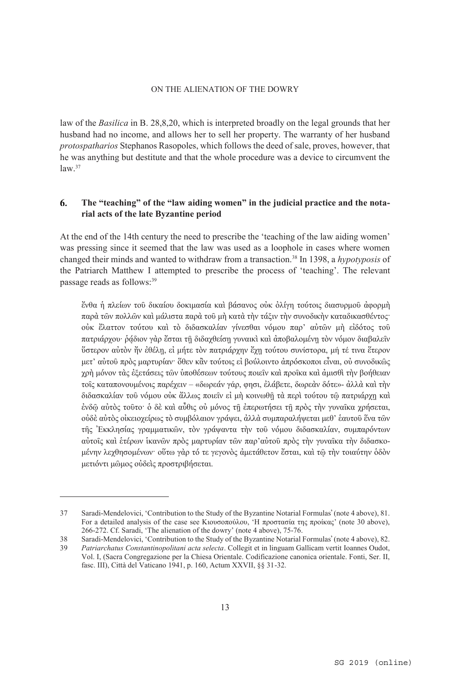law of the *Basilica* in B. 28,8,20, which is interpreted broadly on the legal grounds that her husband had no income, and allows her to sell her property. The warranty of her husband *protospatharios* Stephanos Rasopoles, which follows the deed of sale, proves, however, that he was anything but destitute and that the whole procedure was a device to circumvent the  $law<sup>37</sup>$ 

#### 6. **The "teaching" of the "law aiding women" in the judicial practice and the notarial acts of the late Byzantine period**

At the end of the 14th century the need to prescribe the 'teaching of the law aiding women' was pressing since it seemed that the law was used as a loophole in cases where women changed their minds and wanted to withdraw from a transaction.38 In 1398, a *hypotyposis* of the Patriarch Matthew I attempted to prescribe the process of 'teaching'. The relevant passage reads as follows:39

ἔνθα ἡ πλείων τοῦ δικαίου δοκιμασία καὶ βάσανος οὐκ ὀλίγη τούτοις διασυρμοῦ ἀφορμὴ παρὰ τῶν πολλῶν καὶ μάλιστα παρὰ τοῦ μὴ κατὰ τὴν τάξιν τὴν συνοδικὴν καταδικασθέντος· οὐκ ἔλαττον τούτου καὶ τὸ διδασκαλίαν γίνεσθαι νόμου παρ' αὐτῶν μὴ εἰδότος τοῦ πατριάρχου· ράδιον γὰρ ἔσται τῆ διδαχθείση γυναικὶ καὶ ἀποβαλομένη τὸν νόμον διαβαλεῖν ὕστερον αὐτὸν ἤν ἐθέλῃ, εἰ μήτε τὸν πατριάρχην ἔχῃ τούτου συνίστορα, μή τέ τινα ἕτερον μετ' αὐτοῦ πρὸς μαρτυρίαν· ὅθεν κἂν τούτοις εἰ βούλοιντο ἀπρόσκοποι εἶναι, οὐ συνοδικῶς χρὴ μόνον τὰς ἐξετάσεις τῶν ὑποθέσεων τούτους ποιεῖν καὶ προῖκα καὶ ἀμισθὶ τὴν βοήθειαν τοῖς καταπονουμένοις παρέχειν – «δωρεάν γάρ, φησι, ἐλάβετε, δωρεὰν δότε»- ἀλλὰ καὶ τὴν διδασκαλίαν τοῦ νόμου οὐκ ἄλλως ποιεῖν εἰ μὴ κοινωθῇ τὰ περὶ τούτου τῷ πατριάρχῃ καὶ ἐνδῷ αὐτὸς τοῦτο· ὁ δὲ καὶ αὖθις οὐ μόνος τῇ ἐπερωτήσει τῇ πρὸς τὴν γυναῖκα χρήσεται, οὐδὲ αὐτὸς οἰκειοχείρως τὸ συμβόλαιον γράψει, ἀλλὰ συμπαραλήψεται μεθ' ἑαυτοῦ ἕνα τῶν τῆς Ἐκκλησίας γραμματικῶν, τὸν γράψαντα τὴν τοῦ νόμου διδασκαλίαν, συμπαρόντων αὐτοῖς καὶ ἑτέρων ἱκανῶν πρὸς μαρτυρίαν τῶν παρ'αὐτοῦ πρὸς τὴν γυναῖκα τὴν διδασκομένην λεχθησομένων· οὕτω γὰρ τό τε γεγονὸς ἀμετάθετον ἔσται, καὶ τῷ τὴν τοιαύτην ὁδὸν μετιόντι μῶμος οὐδεὶς προστριβήσεται.

<sup>37</sup> Saradi-Mendelovici, 'Contribution to the Study of the Byzantine Notarial Formulas' (note 4 above), 81. For a detailed analysis of the case see Κιουσοπούλου, 'H προστασία της προίκας' (note 30 above), 266-272. Cf. Saradi, 'The alienation of the dowry' (note 4 above), 75-76.

<sup>38</sup> Saradi-Mendelovici, 'Contribution to the Study of the Byzantine Notarial Formulas' (note 4 above), 82.<br>39 *Patriarchatus Constantinopolitani acta selecta* Collegit et in linguam Gallicam vertit Ioannes Oudot

<sup>39</sup> *Patriarchatus Constantinopolitani acta selecta*. Collegit et in linguam Gallicam vertit Ioannes Oudot, Vol. I, (Sacra Congregazione per la Chiesa Orientale. Codificazione canonica orientale. Fonti, Ser. II, fasc. III), Città del Vaticano 1941, p. 160, Actum XXVII, §§ 31-32.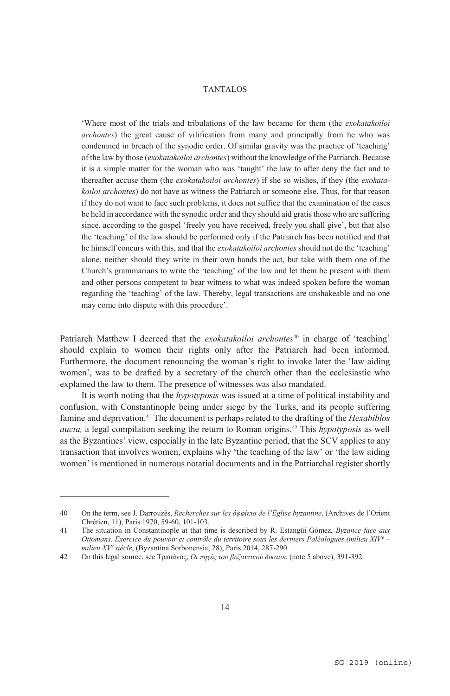'Where most of the trials and tribulations of the law became for them (the *exokatakoiloi archontes*) the great cause of vilification from many and principally from he who was condemned in breach of the synodic order. Of similar gravity was the practice of 'teaching' of the law by those (*exokatakoiloi archontes*) without the knowledge of the Patriarch. Because it is a simple matter for the woman who was 'taught' the law to after deny the fact and to thereafter accuse them (the *exokatakoiloi archontes*) if she so wishes, if they (the *exokatakoiloi archontes*) do not have as witness the Patriarch or someone else. Thus, for that reason if they do not want to face such problems, it does not suffice that the examination of the cases be held in accordance with the synodic order and they should aid gratis those who are suffering since, according to the gospel 'freely you have received, freely you shall give', but that also the 'teaching' of the law should be performed only if the Patriarch has been notified and that he himself concurs with this, and that the *exokatakoiloi archontes* should not do the 'teaching' alone, neither should they write in their own hands the act, but take with them one of the Church's grammarians to write the 'teaching' of the law and let them be present with them and other persons competent to bear witness to what was indeed spoken before the woman regarding the 'teaching' of the law. Thereby, legal transactions are unshakeable and no one may come into dispute with this procedure'.

Patriarch Matthew I decreed that the *exokatakoiloi archontes*<sup>40</sup> in charge of 'teaching' should explain to women their rights only after the Patriarch had been informed. Furthermore, the document renouncing the woman's right to invoke later the 'law aiding women', was to be drafted by a secretary of the church other than the ecclesiastic who explained the law to them. The presence of witnesses was also mandated.

It is worth noting that the *hypotyposis* was issued at a time of political instability and confusion, with Constantinople being under siege by the Turks, and its people suffering famine and deprivation.41 The document is perhaps related to the drafting of the *Hexabiblos aucta,* a legal compilation seeking the return to Roman origins.42 This *hypotyposis* as well as the Byzantines' view, especially in the late Byzantine period, that the SCV applies to any transaction that involves women, explains why 'the teaching of the law' or 'the law aiding women' is mentioned in numerous notarial documents and in the Patriarchal register shortly

<sup>40</sup> Οn the term, see J. Darrouzès, *Recherches sur les ὀφφίκια de l'Église byzantine*, (Archives de l'Orient Chrétien, 11), Paris 1970, 59-60, 101-103.

<sup>41</sup> The situation in Constantinople at that time is described by R. Estangüi Gómez, *Byzance face aux Ottomans. Exercice du pouvoir et contrôle du territoire sous les derniers Paléologues (milieu XIVe – milieu XVe siècle*, (Byzantina Sorbonensia, 28), Paris 2014, 287-290.

<sup>42</sup> On this legal source, see Tρωιάνος, *Οι πηγές του βυζαντινού δικαίου* (note 5 above), 391-392.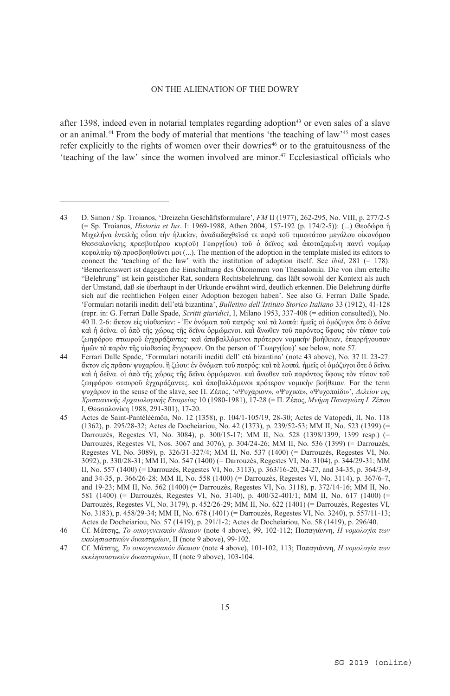after 1398, indeed even in notarial templates regarding adoption<sup>43</sup> or even sales of a slave or an animal.44 From the body of material that mentions 'the teaching of law'45 most cases refer explicitly to the rights of women over their dowries<sup>46</sup> or to the gratuitousness of the 'teaching of the law' since the women involved are minor.47 Ecclesiastical officials who

<sup>43</sup> D. Simon / Sp. Troianos, 'Dreizehn Geschäftsformulare', *FM* II (1977), 262-295, No. VIII, p. 277/2-5 (= Sp. Troianos, *Historia et Ius*. I: 1969-1988, Athen 2004, 157-192 (p. 174/2-5)): (...) Θεοδώρα ἡ Μιχελήνα ἐντελὴς οὖσα τὴν ἡλικίαν, ἀναδειδαχθεῖσά τε παρὰ τοῦ τιμιωτάτου μεγάλου οἰκονόμου Θεσσαλονίκης πρεσβυτέρου κυρ(οῦ) Γεωργ(ίου) τοῦ ὁ δεῖνος καὶ ἀποταξαμένη παντὶ νομίμῳ κεφαλαίῳ τῷ προσβοηθοῦντι μοι (...). The mention of the adoption in the template misled its editors to connect the 'teaching of the law' with the institution of adoption itself. See *ibid*, 281 (= 178): 'Bemerkenswert ist dagegen die Einschaltung des Ökonomen von Thessaloniki. Die von ihm erteilte "Belehrung" ist kein geistlicher Rat, sondern Rechtsbelehrung, das läßt sowohl der Kontext als auch der Umstand, daß sie überhaupt in der Urkunde erwähnt wird, deutlich erkennen. Die Belehrung dürfte sich auf die rechtlichen Folgen einer Adoption bezogen haben'. See also G. Ferrari Dalle Spade, 'Formulari notarili inediti dell'età bizantina', *Bulletino dell'Istituto Storico Italiano* 33 (1912), 41-128 (repr. in: G. Ferrari Dalle Spade, *Scritti giuridici*, I, Milano 1953, 337-408 (= edition consulted)), No. 40 ll. 2-6: ἄκτον εἰς υἱοθεσίαν: - Ἐν ὀνόματι τοῦ πατρός· καὶ τὰ λοιπά: ἡμεῖς οἱ ὁμόζυγοι ὅτε ὁ δεῖνα καὶ ἡ δεῖνα. οἱ ἀπὸ τῆς χώρας τῆς δεῖνα ὁρμώμενοι. καὶ ἄνωθεν τοῦ παρόντος ὕφους τὸν τύπον τοῦ ζωηφόρου σταυροῦ ἐγχαράξαντες· καὶ ἀποβαλλόμενοι πρότερον νομικὴν βοήθειαν, ἐπαρρήγουσαν ἡμῶν τὸ παρὸν τῆς υἱοθεσίας ἔγγραφον. On the person of 'Γεωργ(ίου)' see below, note 57.

<sup>44</sup> Ferrari Dalle Spade, 'Formulari notarili inediti dell' età bizantina' (note 43 above), No. 37 ll. 23-27: ἄκτον εἰς πρᾶσιν ψυχαρίου. ἢ ζώου: ἐν ὀνόματι τοῦ πατρός: καὶ τὰ λοιπά. ἡμεῖς οἱ ὁμόζυγοι ὅτε ὁ δεῖνα καὶ ἡ δεῖνα. οἱ ἀπὸ τῆς χώρας τῆς δεῖνα ὁρμώμενοι. καὶ ἄνωθεν τοῦ παρόντος ὕφους τὸν τύπον τοῦ ζωηφόρου σταυροῦ ἐγχαράξαντες. καὶ ἀποβαλλόμενοι πρότερον νομικὴν βοήθειαν. For the term ψυχάριον in the sense of the slave, see Π. Ζέπος, '«Ψυχάριον», «Ψυχικά», «Ψυχοπαίδι»', *Δελτίον της Χριστιανικής Αρχαιολογικής Εταιρείας* 10 (1980-1981), 17-28 (= Π. Ζέπος, *Mνήμη Παναγιώτη Ι. Ζέπου* Ι, Θεσσαλονίκη 1988, 291-301), 17-20.

<sup>45</sup> Αctes de Saint-Pantéléèmôn, No. 12 (1358), p. 104/1-105/19, 28-30; Actes de Vatopédi, II, No. 118 (1362), p. 295/28-32; Αctes de Docheiariou, No. 42 (1373), p. 239/52-53; MM ΙΙ, No. 523 (1399) (= Darrouzès, Regestes VI, No. 3084), p. 300/15-17; ΜΜ ΙΙ, No. 528 (1398/1399, 1399 resp.) (= Darrouzès, Regestes VI, Nos. 3067 and 3076), p. 304/24-26; ΜΜ ΙΙ, No. 536 (1399) (= Darrouzès, Regestes VI, No. 3089), p. 326/31-327/4; ΜΜ ΙΙ, No. 537 (1400) (= Darrouzès, Regestes VI, No. 3092), p. 330/28-31; ΜΜ ΙΙ, No. 547 (1400) (= Darrouzès, Regestes VI, No. 3104), p. 344/29-31; MM II, No. 557 (1400) (= Darrouzès, Regestes VI, No. 3113), p. 363/16-20, 24-27, and 34-35, p. 364/3-9, and 34-35, p. 366/26-28; ΜΜ ΙΙ, No. 558 (1400) (= Darrouzès, Regestes VI, No. 3114), p. 367/6-7, and 19-23; ΜΜ ΙΙ, No. 562 (1400) (= Darrouzès, Regestes VI, No. 3118), p. 372/14-16; ΜΜ ΙΙ, No. 581 (1400) (= Darrouzès, Regestes VI, No. 3140), p. 400/32-401/1; ΜΜ ΙΙ, No. 617 (1400) (= Darrouzès, Regestes VI, No. 3179), p. 452/26-29; ΜΜ ΙΙ, No. 622 (1401) (= Darrouzès, Regestes VI, No. 3183), p. 458/29-34; ΜΜ ΙΙ, No. 678 (1401) (= Darrouzès, Regestes VI, No. 3240), p. 557/11-13; Αctes de Docheiariou, No*.* 57 (1419), p. 291/1-2; Αctes de Docheiariou, No. 58 (1419), p. 296/40.

<sup>46</sup> Cf. Μάτσης, *Το οικογενειακόν δίκαιον* (note 4 above), 99, 102-112; Παπαγιάννη, *Η νομολογία των εκκλησιαστικών δικαστηρίων*, ΙΙ (note 9 above), 99-102.

<sup>47</sup> Cf. Μάτσης, *Το οικογενειακόν δίκαιον* (note 4 above), 101-102, 113; Παπαγιάννη, *Η νομολογία των εκκλησιαστικών δικαστηρίων*, ΙΙ (note 9 above), 103-104.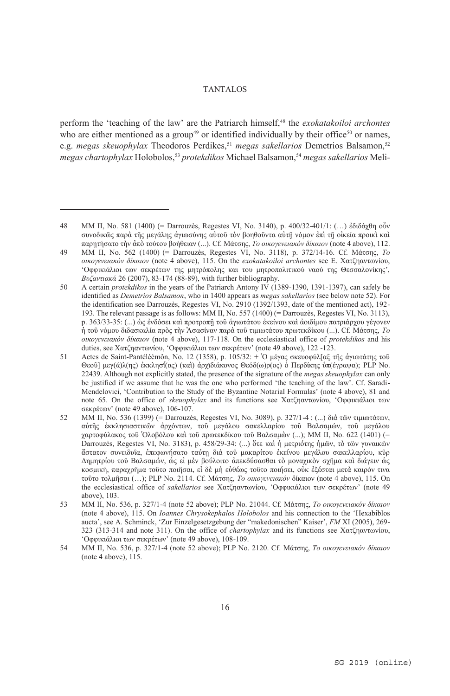perform the 'teaching of the law' are the Patriarch himself,48 the *exokatakoiloi archontes* who are either mentioned as a group<sup>49</sup> or identified individually by their office<sup>50</sup> or names, e.g. *megas skeuophylax* Theodoros Perdikes,<sup>51</sup> *megas sakellarios* Demetrios Balsamon,<sup>52</sup> *megas chartophylax* Holobolos,<sup>53</sup> *protekdikos* Michael Balsamon,<sup>54</sup> *megas sakellarios* Meli-

<sup>48</sup> MM II, No. 581 (1400) (= Darrouzès, Regestes VI, No. 3140), p. 400/32-401/1: (…) ἐδιδάχθη οὖν συνοδικῶς παρὰ τῆς μεγάλης ἁγιωσύνης αὐτοῦ τὸν βοηθοῦντα αὐτῇ νόμον ἐπὶ τῇ οἰκεία προικὶ καὶ παρῃτήσατο τὴν ἀπὸ τούτου βοήθειαν (...). Cf. Mάτσης, *Το οικογενειακόν δίκαιον* (note 4 above), 112.

<sup>49</sup> ΜΜ ΙΙ, No. 562 (1400) (= Darrouzès, Regestes VI, No. 3118), p. 372/14-16. Cf. Mάτσης, *Το οικογενειακόν δίκαιον* (note 4 above), 115. On the *exokatakoiloi archontes* see E. Χατζηαντωνίου, 'Oφφικιάλιοι των σεκρέτων της μητρόπολης και του μητροπολιτικού ναού της Θεσσαλονίκης', *Βυζαντιακά* 26 (2007), 83-174 (88-89), with further bibliography.

<sup>50</sup> A certain *protekdikos* in the years of the Patriarch Antony IV (1389-1390, 1391-1397), can safely be identified as *Demetrios Balsamon*, who in 1400 appears as *megas sakellarios* (see below note 52). For the identification see Darrouzès, Regestes VI, No. 2910 (1392/1393, date of the mentioned act), 192- 193. Τhe relevant passage is as follows: MM II, No. 557 (1400) (= Darrouzès, Regestes VI, No. 3113), p. 363/33-35: (...) ὡς ἐνδόσει καὶ προτροπῇ τοῦ ἁγιωτάτου ἐκείνου καὶ ἀοιδίμου πατριάρχου γέγονεν ἡ τοῦ νόμου διδασκαλία πρὸς τὴν Ἀσασίναν παρὰ τοῦ τιμιωτάτου πρωτεκδίκου (...). Cf. Μάτσης, *Το οικογενειακόν δίκαιον* (note 4 above), 117-118. Οn the ecclesiastical office of *protekdikos* and his duties, see Χατζηαντωνίου, 'Oφφικιάλιοι των σεκρέτων' (note 49 above), 122 -123.

<sup>51</sup> Actes de Saint-Pantéléèmôn, No. 12 (1358), p. 105/32: + Ὁ μέγας σκευοφύλ[αξ τῆς ἁγιωτάτης τοῦ Θεοῦ] μεγ(ά)λ(ης) ἐκκλησΐ(ας) (καὶ) ἀρχϊδιάκονος Θεόδ(ω)ρ(ος) ὁ Περδίκης ὑπ(έγραψα); PLP No. 22439. Although not explicitly stated, the presence of the signature of the *megas skeuophylax* can only be justified if we assume that he was the one who performed 'the teaching of the law'. Cf. Saradi-Mendelovici, 'Contribution to the Study of the Byzantine Notarial Formulas' (note 4 above), 81 and note 65. On the office of *skeuophylax* and its functions see Χατζηαντωνίου, 'Oφφικιάλιοι των σεκρέτων' (note 49 above), 106-107.

<sup>52</sup> ΜΜ ΙΙ, No. 536 (1399) (= Darrouzès, Regestes VI, No. 3089), p. 327/1-4 : (...) διὰ τῶν τιμιωτάτων, αὐτῆς ἐκκλησιαστικῶν ἀρχόντων, τοῦ μεγάλου σακελλαρίου τοῦ Βαλσαμών, τοῦ μεγάλου χαρτοφύλακος τοῦ Ὁλοβόλου καὶ τοῦ πρωτεκδίκου τοῦ Βαλσαμὼν (...); ΜΜ ΙΙ, No. 622 (1401) (= Darrouzès, Regestes VI, No. 3183), p. 458/29-34: (...) ὅτε καὶ ἡ μετριότης ἡμῶν, τὸ τῶν γυναικῶν ἄστατον συνειδυῖα, ἐπεφωνήσατο ταύτῃ διὰ τοῦ μακαρίτου ἐκείνου μεγάλου σακελλαρίου, κῦρ Δημητρίου τοῦ Βαλσαμών, ὡς εἰ μὲν βούλοιτο ἀπεκδύσασθαι τὸ μοναχικὸν σχῆμα καὶ διάγειν ὡς κοσμική, παραχρῆμα τοῦτο ποιῆσαι, εἰ δὲ μὴ εὐθέως τοῦτο ποιήσει, οὐκ ἐξέσται μετὰ καιρόν τινα τοῦτο τολμῆσαι (…); PLP Nο. 2114. Cf. Μάτσης, *Το οικογενειακόν* δίκαιον (note 4 above), 115. On the ecclesiastical office of *sakellarios* see Χατζηαντωνίου, 'Oφφικιάλιοι των σεκρέτων' (note 49 above), 103.

<sup>53</sup> ΜΜ ΙΙ, No. 536, p. 327/1-4 (note 52 above); PLP Nο. 21044. Cf. Μάτσης, *Το οικογενειακόν δίκαιον* (note 4 above), 115. On *Ioannes Chrysokephalos Holobolos* and his connection to the 'Hexabiblos aucta', see A. Schminck, 'Zur Einzelgesetzgebung der "makedonischen" Kaiser', *FM* XI (2005), 269- 323 (313-314 and note 311). On the office of *chartophylax* and its functions see Χατζηαντωνίου, 'Oφφικιάλιοι των σεκρέτων' (note 49 above), 108-109.

<sup>54</sup> ΜΜ ΙΙ, No. 536, p. 327/1-4 (note 52 above); PLP No. 2120. Cf. Mάτσης, *Το οικογενειακόν δίκαιον* (note 4 above), 115.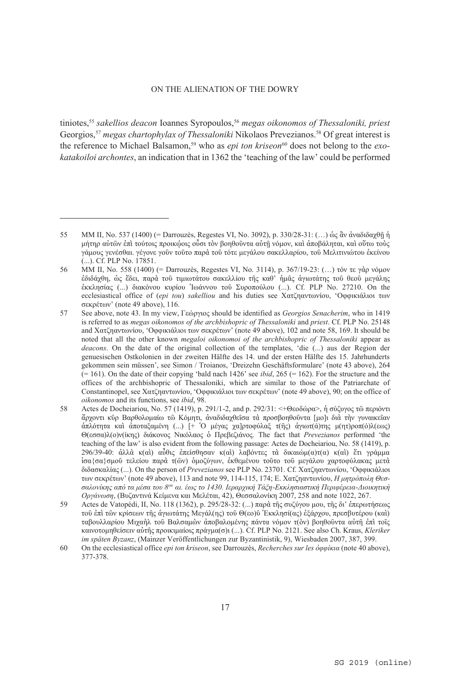tiniotes,55 *sakellios deacon* Ioannes Syropoulos,56 *megas oikonomos of Thessaloniki, priest* Georgios,<sup>57</sup> *megas chartophylax of Thessaloniki* Nikolaos Prevezianos.<sup>58</sup> Of great interest is the reference to Michael Balsamon,<sup>59</sup> who as *epi ton kriseon*<sup>60</sup> does not belong to the *exokatakoiloi archontes*, an indication that in 1362 the 'teaching of the law' could be performed

<sup>55</sup> ΜΜ ΙΙ, No. 537 (1400) (= Darrouzès, Regestes VI, No. 3092), p. 330/28-31: (…) ὡς ἂν ἀναδιδαχθῇ ἡ μήτηρ αὐτῶν ἐπὶ τούτοις προικῴοις οὖσι τὸν βοηθοῦντα αὐτῇ νόμον, καὶ ἀποβάληται, καὶ οὕτω τοὺς γάμους γενέσθαι. γέγονε γοῦν τοῦτο παρὰ τοῦ τότε μεγάλου σακελλαρίου, τοῦ Μελιτινιώτου ἐκείνου (...). Cf. PLP No. 17851.

<sup>56</sup> ΜΜ ΙΙ, No. 558 (1400) (= Darrouzès, Regestes VI, No. 3114), p. 367/19-23: (…) τόν τε γὰρ νόμον ἐδιδάχθη, ὡς ἔδει, παρὰ τοῦ τιμιωτάτου σακελλίου τῆς καθ' ἡμᾶς ἁγιωτάτης τοῦ θεοῦ μεγάλης ἐκκλησίας (...) διακόνου κυρίου Ἰωάννου τοῦ Συροπούλου (...). Cf. PLP No. 27210. Οn the ecclesiastical office of (*epi tou*) *sakelliou* and his duties see Χατζηαντωνίου, 'Oφφικιάλιοι των σεκρέτων' (note 49 above), 116.

<sup>57</sup> See above, note 43. In my view, Γεώργιος should be identified as *Georgios Senacherim*, who in 1419 is referred to as *megas oikonomos of the archbishopric of Thessaloniki* and *priest*. Cf. PLP No. 25148 and Χατζηαντωνίου, 'Oφφικιάλιοι των σεκρέτων' (note 49 above), 102 and note 58, 169. It should be noted that all the other known *megaloi oikonomoi of the archbishopric of Thessaloniki* appear as *deacons*. Οn the date of the original collection of the templates, 'die (...) aus der Region der genuesischen Ostkolonien in der zweiten Hälfte des 14. und der ersten Hälfte des 15. Jahrhunderts gekommen sein müssen', see Simon / Troianos, 'Dreizehn Geschäftsformulare' (note 43 above), 264  $(= 161)$ . On the date of their copying 'bald nach 1426' see *ibid*, 265  $(= 162)$ . For the structure and the offices of the archbishopric of Thessaloniki, which are similar to those of the Patriarchate of Constantinopel, see Χατζηαντωνίου, 'Oφφικιάλιοι των σεκρέτων' (note 49 above), 90; on the office of *oikonomos* and its functions, see *ibid*, 98.

<sup>58</sup> Actes de Docheiariou, No. 57 (1419), p. 291/1-2, and p. 292/31: <+Θεοδώρα>, ἡ σύζυγος τῶ περιόντι ἄρχοντι κῦρ Βαρθολομαίω τῶ Κόμητι, ἀναδιδαχθεῖσα τὰ προσβοηθοῦντα [μο]ι διὰ τὴν γυναικεῖαν ἁπλότητα καὶ ἀποταξαμένη (...) [+ Ὁ μέγας χα]ρτοφύλαξ τ(ῆς) ἁγιωτ(ά)της μ(ητ)ροπ(ό)λ(εως) Θ(εσσα)λ(ο)ν(ίκης) διάκονος Νικόλαος ὁ Πρεβεζιάνος. The fact that *Prevezianos* performed 'the teaching of the law' is also evident from the following passage: Actes de Docheiariou, No. 58 (1419), p. 296/39-40: ἀλλὰ κ(αὶ) αὖθις ἐπείσθησαν κ(αὶ) λαβόντες τὰ δικαιώμ(α)τ(α) κ(αὶ) ἔτι γράμμα ἰσα{σα}σμοῦ τελείου παρὰ τ(ῶν) ὁμοζύγων, ἐκθεμένου τοῦτο τοῦ μεγάλου χαρτοφύλακας μετὰ διδασκαλίας (...). Οn the person of *Prevezianos* see PLP No. 23701. Cf. Χατζηαντωνίου, 'Oφφικιάλιοι των σεκρέτων' (note 49 above), 113 and note 99, 114-115, 174; E. Χατζηαντωνίου, *Η μητρόπολη Θεσ*σαλονίκης από τα μέσα του 8<sup>ου</sup> αι. έως το 1430. Ιεραργική Τάζη-Εκκλησιαστική Περιφέρεια-Διοικητική *Οργάνωση*, (Βυζαντινά Κείμενα και Μελέται, 42), Θεσσαλονίκη 2007, 258 and note 1022, 267.

<sup>59</sup> Actes de Vatopédi, II, No. 118 (1362), p. 295/28-32: (...) παρὰ τῆς συζύγου μου, τῆς δι' ἐπερωτήσεως τοῦ ἐπὶ τῶν κρίσεων τῆς ἁγιωτάτης Μεγάλ(ης) τοῦ Θ(εο)ῦ Ἐκκλησί(ας) ἐξάρχου, πρεσβυτέρου (καὶ) ταβουλλαρίου Μιχαὴλ τοῦ Βαλσαμὼν ἀποβαλομένης πάντα νόμον τ(ὸν) βοηθοῦντα αὐτῆ ἐπὶ τοῖς καινοτομηθείσειν αὐτῆς προικιμαίοις πράγμα(σ)ι (...). Cf. PLP No. 2121. See also Ch. Kraus, *Kleriker im späten Byzanz*, (Mainzer Veröffentlichungen zur Byzantinistik, 9), Wiesbaden 2007, 387, 399.

<sup>60</sup> On the ecclesiastical office *epi ton kriseon*, see Darrouzès, *Recherches sur les ὀφφίκια* (note 40 above), 377-378.